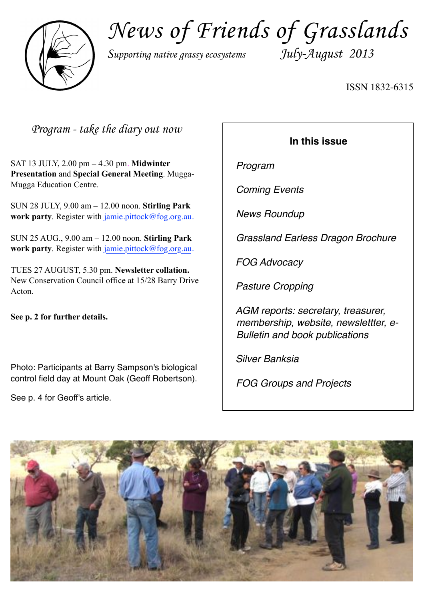

*News of Friends of Grasslands*

*Supporting native grassy ecosystems July-August 2013*

ISSN 1832-6315

*Program - take the diary out now*

SAT 13 JULY, 2.00 pm – 4.30 pm. **Midwinter Presentation** and **Special General Meeting**. Mugga-Mugga Education Centre.

SUN 28 JULY, 9.00 am – 12.00 noon. **Stirling Park work party**. Register with [jamie.pittock@fog.org.au](mailto:jamie.pittock@fog.org.au).

SUN 25 AUG., 9.00 am – 12.00 noon. **Stirling Park work party**. Register with [jamie.pittock@fog.org.au](mailto:jamie.pittock@fog.org.au).

TUES 27 AUGUST, 5.30 pm. **Newsletter collation.** New Conservation Council office at 15/28 Barry Drive Acton.

**See p. 2 for further details.**

Photo: Participants at Barry Sampson's biological control field day at Mount Oak (Geoff Robertson).

See p. 4 for Geoff's article.

## **In this issue**

*Program*

*Coming Events*

*News Roundup*

*Grassland Earless Dragon Brochure*

*FOG Advocacy*

*Pasture Cropping*

*AGM reports: secretary, treasurer, membership, website, newslettter, e-Bulletin and book publications*

*Silver Banksia*

*FOG Groups and Projects*

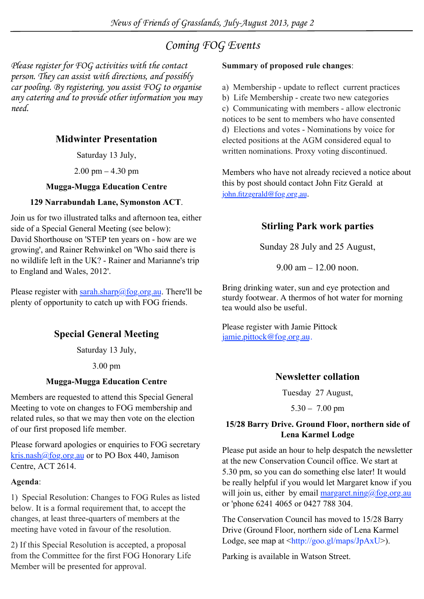## *Coming FOG Events*

*Please register for FOG activities with the contact person. They can assist with directions, and possibly car pooling. By registering, you assist FOG to organise any catering and to provide other information you may need.*

## **Midwinter Presentation**

Saturday 13 July,

2.00 pm – 4.30 pm

### **Mugga-Mugga Education Centre**

## **129 Narrabundah Lane, Symonston ACT**.

Join us for two illustrated talks and afternoon tea, either side of a Special General Meeting (see below): David Shorthouse on 'STEP ten years on - how are we growing', and Rainer Rehwinkel on 'Who said there is no wildlife left in the UK? - Rainer and Marianne's trip to England and Wales, 2012'.

Please register with sarah.sharp@fog.org.au. There'll be plenty of opportunity to catch up with FOG friends.

## **Special General Meeting**

Saturday 13 July,

3.00 pm

## **Mugga-Mugga Education Centre**

Members are requested to attend this Special General Meeting to vote on changes to FOG membership and related rules, so that we may then vote on the election of our first proposed life member.

Please forward apologies or enquiries to FOG secretary kris.nash@fog.org.au or to PO Box 440, Jamison Centre, ACT 2614.

### **Agenda**:

1) Special Resolution: Changes to FOG Rules as listed below. It is a formal requirement that, to accept the changes, at least three-quarters of members at the meeting have voted in favour of the resolution.

2) If this Special Resolution is accepted, a proposal from the Committee for the first FOG Honorary Life Member will be presented for approval.

### **Summary of proposed rule changes**:

- a) Membership update to reflect current practices
- b) Life Membership create two new categories

c) Communicating with members - allow electronic notices to be sent to members who have consented d) Elections and votes - Nominations by voice for elected positions at the AGM considered equal to written nominations. Proxy voting discontinued.

Members who have not already recieved a notice about this by post should contact John Fitz Gerald at john.fitzgerald@fog.org.au.

## **Stirling Park work parties**

Sunday 28 July and 25 August,

9.00 am – 12.00 noon.

Bring drinking water, sun and eye protection and sturdy footwear. A thermos of hot water for morning tea would also be useful.

Please register with Jamie Pittock [jamie.pittock@fog.org.au](mailto:jamie.pittock@fog.org.au).

## **Newsletter collation**

Tuesday 27 August,

5.30 – 7.00 pm

### **15/28 Barry Drive. Ground Floor, northern side of Lena Karmel Lodge**

Please put aside an hour to help despatch the newsletter at the new Conservation Council office. We start at 5.30 pm, so you can do something else later! It would be really helpful if you would let Margaret know if you will join us, either by email margaret.ning@fog.org.au or 'phone 6241 4065 or 0427 788 304.

The Conservation Council has moved to 15/28 Barry Drive (Ground Floor, northern side of Lena Karmel Lodge, see map at  $\frac{\text{th}}{\text{tpp}}$ ://goo.gl/maps/JpAxU>).

Parking is available in Watson Street.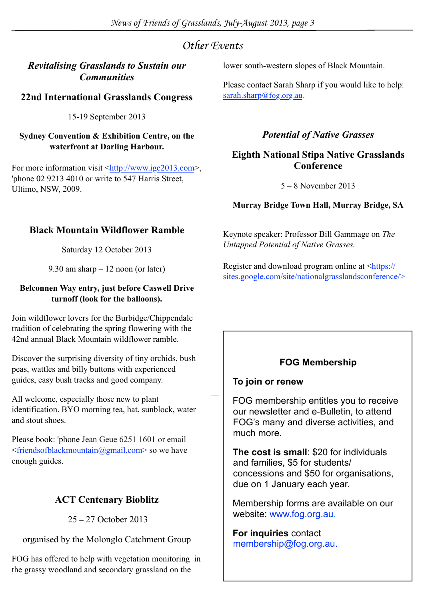## *Other Events*

## *Revitalising Grasslands to Sustain our Communities*

## **22nd International Grasslands Congress**

15-19 September 2013

### **Sydney Convention & Exhibition Centre, on the waterfront at Darling Harbour.**

For more information visit <http://www.igc2013.com>, 'phone 02 9213 4010 or write to 547 Harris Street, Ultimo, NSW, 2009.

lower south-western slopes of Black Mountain.

Please contact Sarah Sharp if you would like to help: sarah.sharp@fog.org.au.

## *Potential of Native Grasses*

## **Eighth National Stipa Native Grasslands Conference**

5 – 8 November 2013

## **Murray Bridge Town Hall, Murray Bridge, SA**

Keynote speaker: Professor Bill Gammage on *The Untapped Potential of Native Grasses.*

Register and download program online at <https:// sites.google.com/site/nationalgrasslandsconference/>

## **Black Mountain Wildflower Ramble**

Saturday 12 October 2013

9.30 am sharp – 12 noon (or later)

### **Belconnen Way entry, just before Caswell Drive turnoff (look for the balloons).**

Join wildflower lovers for the Burbidge/Chippendale tradition of celebrating the spring flowering with the 42nd annual Black Mountain wildflower ramble.

Discover the surprising diversity of tiny orchids, bush peas, wattles and billy buttons with experienced guides, easy bush tracks and good company.

All welcome, especially those new to plant identification. BYO morning tea, hat, sunblock, water and stout shoes.

Please book: 'phone Jean Geue 6251 1601 or email <friendsofblackmountain@gmail.com> so we have enough guides.

## **ACT Centenary Bioblitz**

25 – 27 October 2013

organised by the Molonglo Catchment Group

FOG has offered to help with vegetation monitoring in the grassy woodland and secondary grassland on the

## **FOG Membership**

## **To join or renew**

FOG membership entitles you to receive our newsletter and e-Bulletin, to attend FOG's many and diverse activities, and much more.

**The cost is small**: \$20 for individuals and families, \$5 for students/ concessions and \$50 for organisations, due on 1 January each year.

Membership forms are available on our website: [www.fog.org.au.](http://www.fog.org.au/membership.htm)

**For inquiries** contact membership@fog.org.au.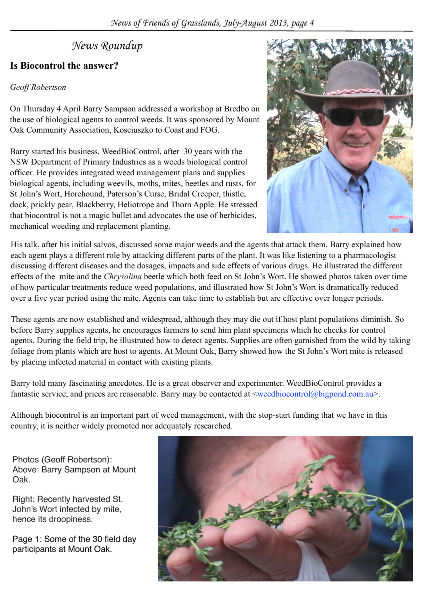## *News Roundup*

## **Is Biocontrol the answer?**

### *Geoff Robertson*

On Thursday 4 April Barry Sampson addressed a workshop at Bredbo on the use of biological agents to control weeds. It was sponsored by Mount Oak Community Association, Kosciuszko to Coast and FOG.

Barry started his business, WeedBioControl, after 30 years with the NSW Department of Primary Industries as a weeds biological control officer. He provides integrated weed management plans and supplies biological agents, including weevils, moths, mites, beetles and rusts, for St John's Wort, Horehound, Paterson's Curse, Bridal Creeper, thistle, dock, prickly pear, Blackberry, Heliotrope and Thorn Apple. He stressed that biocontrol is not a magic bullet and advocates the use of herbicides, mechanical weeding and replacement planting.



His talk, after his initial salvos, discussed some major weeds and the agents that attack them. Barry explained how each agent plays a different role by attacking different parts of the plant. It was like listening to a pharmacologist discussing different diseases and the dosages, impacts and side effects of various drugs. He illustrated the different effects of the mite and the *Chrysolina* beetle which both feed on St John's Wort. He showed photos taken over time of how particular treatments reduce weed populations, and illustrated how St John's Wort is dramatically reduced over a five year period using the mite. Agents can take time to establish but are effective over longer periods.

These agents are now established and widespread, although they may die out if host plant populations diminish. So before Barry supplies agents, he encourages farmers to send him plant specimens which he checks for control agents. During the field trip, he illustrated how to detect agents. Supplies are often garnished from the wild by taking foliage from plants which are host to agents. At Mount Oak, Barry showed how the St John's Wort mite is released by placing infected material in contact with existing plants.

Barry told many fascinating anecdotes. He is a great observer and experimenter. WeedBioControl provides a fantastic service, and prices are reasonable. Barry may be contacted at  $\leq$ weedbiocontrol@bigpond.com.au>.

Although biocontrol is an important part of weed management, with the stop-start funding that we have in this country, it is neither widely promoted nor adequately researched.

Photos (Geoff Robertson): Above: Barry Sampson at Mount Oak.

Right: Recently harvested St. John's Wort infected by mite, hence its droopiness.

Page 1: Some of the 30 field day participants at Mount Oak.

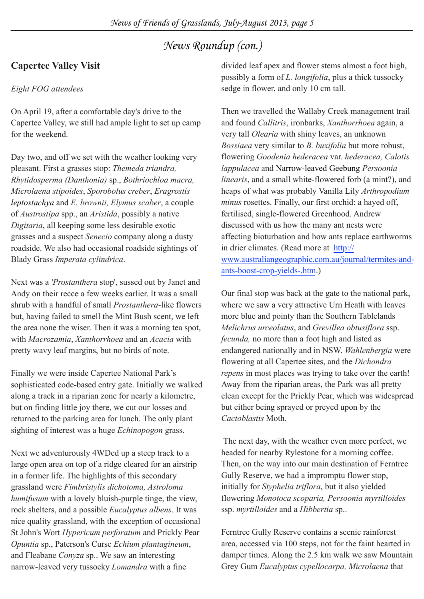## **Capertee Valley Visit**

### *Eight FOG attendees*

On April 19, after a comfortable day's drive to the Capertee Valley, we still had ample light to set up camp for the weekend.

Day two, and off we set with the weather looking very pleasant. First a grasses stop: *Themeda triandra, Rhytidosperma (Danthonia)* sp., *Bothriochloa macra, Microlaena stipoides*, *Sporobolus creber*, *Eragrostis leptostachya* and *E. brownii, Elymus scaber*, a couple of *Austrostipa* spp., an *Aristida*, possibly a native *Digitaria*, all keeping some less desirable exotic grasses and a suspect *Senecio* company along a dusty roadside. We also had occasional roadside sightings of Blady Grass *Imperata cylindrica*.

Next was a *'Prostanthera* stop', sussed out by Janet and Andy on their recce a few weeks earlier. It was a small shrub with a handful of small *Prostanthera*-like flowers but, having failed to smell the Mint Bush scent, we left the area none the wiser. Then it was a morning tea spot, with *Macrozamia*, *Xanthorrhoea* and an *Acacia* with pretty wavy leaf margins, but no birds of note.

Finally we were inside Capertee National Park's sophisticated code-based entry gate. Initially we walked along a track in a riparian zone for nearly a kilometre, but on finding little joy there, we cut our losses and returned to the parking area for lunch. The only plant sighting of interest was a huge *Echinopogon* grass.

Next we adventurously 4WDed up a steep track to a large open area on top of a ridge cleared for an airstrip in a former life. The highlights of this secondary grassland were *Fimbristylis dichotoma, Astroloma humifusum* with a lovely bluish-purple tinge, the view, rock shelters, and a possible *Eucalyptus albens*. It was nice quality grassland, with the exception of occasional St John's Wort *Hypericum perforatum* and Prickly Pear *Opuntia* sp., Paterson's Curse *Echium plantagineum*, and Fleabane *Conyza* sp.. We saw an interesting narrow-leaved very tussocky *Lomandra* with a fine

divided leaf apex and flower stems almost a foot high, possibly a form of *L. longifolia*, plus a thick tussocky sedge in flower, and only 10 cm tall.

Then we travelled the Wallaby Creek management trail and found *Callitris*, ironbarks, *Xanthorrhoea* again, a very tall *Olearia* with shiny leaves, an unknown *Bossiaea* very similar to *B. buxifolia* but more robust, flowering *Goodenia hederacea* var. *hederacea, Calotis lappulacea* and Narrow-leaved Geebung *Persoonia linearis*, and a small white-flowered forb (a mint?), and heaps of what was probably Vanilla Lily *Arthropodium minus* rosettes. Finally, our first orchid: a hayed off, fertilised, single-flowered Greenhood. Andrew discussed with us how the many ant nests were affecting bioturbation and how ants replace earthworms in drier climates. (Read more at [http://](http://www.australiangeographic.com.au/jo) [www.australiangeographic.com.au/journal/termites-and](http://www.australiangeographic.com.au/jo)[ants-boost-crop-yields-.htm](http://www.australiangeographic.com.au/jo).)

Our final stop was back at the gate to the national park, where we saw a very attractive Urn Heath with leaves more blue and pointy than the Southern Tablelands *Melichrus urceolatus*, and *Grevillea obtusiflora* ssp. *fecunda,* no more than a foot high and listed as endangered nationally and in NSW. *Wahlenbergia* were flowering at all Capertee sites, and the *Dichondra repens* in most places was trying to take over the earth! Away from the riparian areas, the Park was all pretty clean except for the Prickly Pear, which was widespread but either being sprayed or preyed upon by the *Cactoblastis* Moth.

 The next day, with the weather even more perfect, we headed for nearby Rylestone for a morning coffee. Then, on the way into our main destination of Ferntree Gully Reserve, we had a impromptu flower stop, initially for *Styphelia triflora*, but it also yielded flowering *Monotoca scoparia, Persoonia myrtilloides* ssp. *myrtilloides* and a *Hibbertia* sp..

Ferntree Gully Reserve contains a scenic rainforest area, accessed via 100 steps, not for the faint hearted in damper times. Along the 2.5 km walk we saw Mountain Grey Gum *Eucalyptus cypellocarpa, Microlaena* that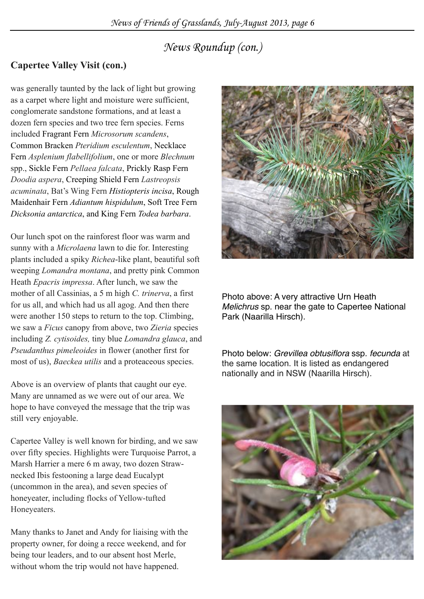## **Capertee Valley Visit (con.)**

was generally taunted by the lack of light but growing as a carpet where light and moisture were sufficient, conglomerate sandstone formations, and at least a dozen fern species and two tree fern species. Ferns included Fragrant Fern *Microsorum scandens*, Common Bracken *Pteridium esculentum*, Necklace Fern *Asplenium flabellifolium*, one or more *Blechnum* spp., Sickle Fern *Pellaea falcata*, Prickly Rasp Fern *Doodia aspera*, Creeping Shield Fern *Lastreopsis acuminata*, Bat's Wing Fern *Histiopteris incisa*, Rough Maidenhair Fern *Adiantum hispidulum*, Soft Tree Fern *Dicksonia antarctica*, and King Fern *Todea barbara*.

Our lunch spot on the rainforest floor was warm and sunny with a *Microlaena* lawn to die for. Interesting plants included a spiky *Richea*-like plant, beautiful soft weeping *Lomandra montana*, and pretty pink Common Heath *Epacris impressa*. After lunch, we saw the mother of all Cassinias, a 5 m high *C. trinerva*, a first for us all, and which had us all agog. And then there were another 150 steps to return to the top. Climbing, we saw a *Ficus* canopy from above, two *Zieria* species including *Z. cytisoides,* tiny blue *Lomandra glauca*, and *Pseudanthus pimeleoides* in flower (another first for most of us), *Baeckea utilis* and a proteaceous species.

Above is an overview of plants that caught our eye. Many are unnamed as we were out of our area. We hope to have conveyed the message that the trip was still very enjoyable.

Capertee Valley is well known for birding, and we saw over fifty species. Highlights were Turquoise Parrot, a Marsh Harrier a mere 6 m away, two dozen Strawnecked Ibis festooning a large dead Eucalypt (uncommon in the area), and seven species of honeyeater, including flocks of Yellow-tufted Honeyeaters.

Many thanks to Janet and Andy for liaising with the property owner, for doing a recce weekend, and for being tour leaders, and to our absent host Merle, without whom the trip would not have happened.



Photo above: A very attractive Urn Heath *Melichrus* sp. near the gate to Capertee National Park (Naarilla Hirsch).

Photo below: *Grevillea obtusiflora* ssp*. fecunda* at the same location. It is listed as endangered nationally and in NSW (Naarilla Hirsch).

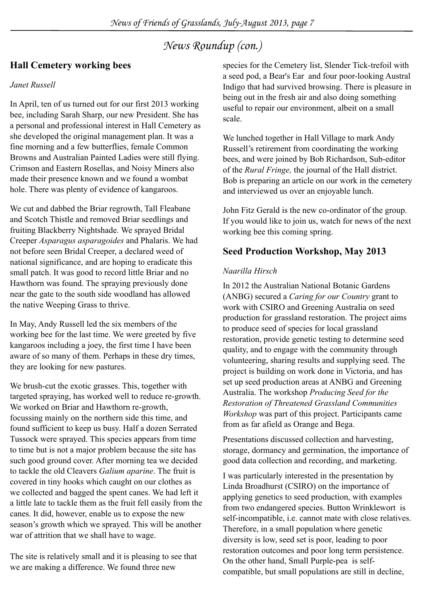## **Hall Cemetery working bees**

### *Janet Russell*

In April, ten of us turned out for our first 2013 working bee, including Sarah Sharp, our new President. She has a personal and professional interest in Hall Cemetery as she developed the original management plan. It was a fine morning and a few butterflies, female Common Browns and Australian Painted Ladies were still flying. Crimson and Eastern Rosellas, and Noisy Miners also made their presence known and we found a wombat hole. There was plenty of evidence of kangaroos.

We cut and dabbed the Briar regrowth, Tall Fleabane and Scotch Thistle and removed Briar seedlings and fruiting Blackberry Nightshade*.* We sprayed Bridal Creeper *Asparagus asparagoides* and Phalaris. We had not before seen Bridal Creeper, a declared weed of national significance, and are hoping to eradicate this small patch. It was good to record little Briar and no Hawthorn was found. The spraying previously done near the gate to the south side woodland has allowed the native Weeping Grass to thrive.

In May, Andy Russell led the six members of the working bee for the last time. We were greeted by five kangaroos including a joey, the first time I have been aware of so many of them. Perhaps in these dry times, they are looking for new pastures.

We brush-cut the exotic grasses. This, together with targeted spraying, has worked well to reduce re-growth. We worked on Briar and Hawthorn re-growth, focussing mainly on the northern side this time, and found sufficient to keep us busy. Half a dozen Serrated Tussock were sprayed. This species appears from time to time but is not a major problem because the site has such good ground cover. After morning tea we decided to tackle the old Cleavers *Galium aparine*. The fruit is covered in tiny hooks which caught on our clothes as we collected and bagged the spent canes. We had left it a little late to tackle them as the fruit fell easily from the canes. It did, however, enable us to expose the new season's growth which we sprayed. This will be another war of attrition that we shall have to wage.

The site is relatively small and it is pleasing to see that we are making a difference. We found three new

species for the Cemetery list, Slender Tick-trefoil with a seed pod, a Bear's Ear and four poor-looking Austral Indigo that had survived browsing. There is pleasure in being out in the fresh air and also doing something useful to repair our environment, albeit on a small scale.

We lunched together in Hall Village to mark Andy Russell's retirement from coordinating the working bees, and were joined by Bob Richardson, Sub-editor of the *Rural Fringe,* the journal of the Hall district. Bob is preparing an article on our work in the cemetery and interviewed us over an enjoyable lunch.

John Fitz Gerald is the new co-ordinator of the group. If you would like to join us, watch for news of the next working bee this coming spring.

## **Seed Production Workshop, May 2013**

### *Naarilla Hirsch*

In 2012 the Australian National Botanic Gardens (ANBG) secured a *Caring for our Country* grant to work with CSIRO and Greening Australia on seed production for grassland restoration. The project aims to produce seed of species for local grassland restoration, provide genetic testing to determine seed quality, and to engage with the community through volunteering, sharing results and supplying seed. The project is building on work done in Victoria, and has set up seed production areas at ANBG and Greening Australia. The workshop *Producing Seed for the Restoration of Threatened Grassland Communities Workshop* was part of this project. Participants came from as far afield as Orange and Bega.

Presentations discussed collection and harvesting, storage, dormancy and germination, the importance of good data collection and recording, and marketing.

I was particularly interested in the presentation by Linda Broadhurst (CSIRO) on the importance of applying genetics to seed production, with examples from two endangered species. Button Wrinklewort is self-incompatible, i.e. cannot mate with close relatives. Therefore, in a small population where genetic diversity is low, seed set is poor, leading to poor restoration outcomes and poor long term persistence. On the other hand, Small Purple-pea is selfcompatible, but small populations are still in decline,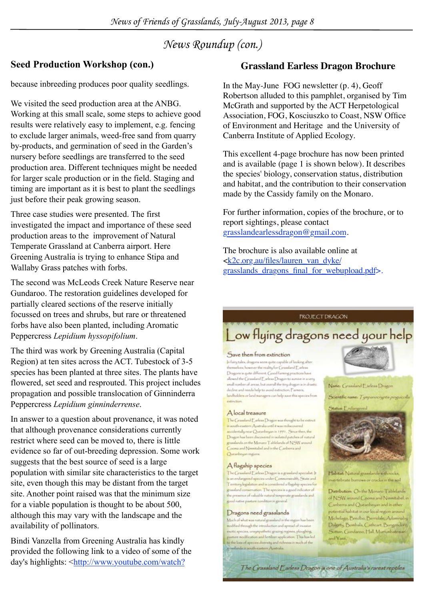## **Seed Production Workshop (con.)**

because inbreeding produces poor quality seedlings.

We visited the seed production area at the ANBG. Working at this small scale, some steps to achieve good results were relatively easy to implement, e.g. fencing to exclude larger animals, weed-free sand from quarry by-products, and germination of seed in the Garden's nursery before seedlings are transferred to the seed production area. Different techniques might be needed for larger scale production or in the field. Staging and timing are important as it is best to plant the seedlings just before their peak growing season.

Three case studies were presented. The first investigated the impact and importance of these seed production areas to the improvement of Natural Temperate Grassland at Canberra airport. Here Greening Australia is trying to enhance Stipa and Wallaby Grass patches with forbs.

The second was McLeods Creek Nature Reserve near Gundaroo. The restoration guidelines developed for partially cleared sections of the reserve initially focussed on trees and shrubs, but rare or threatened forbs have also been planted, including Aromatic Peppercress *Lepidium hyssopifolium*.

The third was work by Greening Australia (Capital Region) at ten sites across the ACT. Tubestock of 3-5 species has been planted at three sites. The plants have flowered, set seed and resprouted. This project includes propagation and possible translocation of Ginninderra Peppercress *Lepidium ginninderrense*.

In answer to a question about provenance, it was noted that although provenance considerations currently restrict where seed can be moved to, there is little evidence so far of out-breeding depression. Some work suggests that the best source of seed is a large population with similar site characteristics to the target site, even though this may be distant from the target site. Another point raised was that the minimum size for a viable population is thought to be about 500, although this may vary with the landscape and the availability of pollinators.

Bindi Vanzella from Greening Australia has kindly provided the following link to a video of some of the day's highlights: <http://www.youtube.com/watch?

## **Grassland Earless Dragon Brochure**

In the May-June FOG newsletter (p. 4), Geoff Robertson alluded to this pamphlet, organised by Tim McGrath and supported by the ACT Herpetological Association, FOG, Kosciuszko to Coast, NSW Office of Environment and Heritage and the University of Canberra Institute of Applied Ecology.

This excellent 4-page brochure has now been printed and is available (page 1 is shown below). It describes the species' biology, conservation status, distribution and habitat, and the contribution to their conservation made by the Cassidy family on the Monaro.

For further information, copies of the brochure, or to report sightings, please contact grasslandearlessdragon@gmail.com.

The brochure is also available online at <k2c.org.au/files/lauren\_van\_dyke/ grasslands\_dragons\_final\_for\_webupload.pdf>.

#### *FROJECT DRAGON*

## Low flying dragons need your help

The Grassland Earless Dragon is one of Australia's rarest reptiles

#### Save them from extinction

In fairy tales, dragons seem quite capable of looking after themselves; however the reality for Grassland Earless Dragons is quite different. Good faming practices have allowed the Cyasaland Earless Dragon to survive in a very small number of areas, but overall the tiny dragon is in drastic decline and needs help to avoid extinction. ["amers, landholdera or land managers can help save this species from

#### A local treasure

The Canadiand Earlow Dragon was thought to be extinct<br>in south-eastern Australia until it was rediscovered acodentally near Quearbeyan in 1991. Since then, the Dragon has been discovered in isolated patches of natural grandards on the Menaro Tablelands of NSW around Cooma and Nimmitabel and in the Canberra and Quearbegan majora

#### A flagship species

The Grassland ["arless Dragon is a grassland specialist. ] is an endangered species under Commonwealth, State and<br>Territory legislation and is considered a flagship species for grassland conservation. The species is a good indicator of the presence of valuable rutural temperate grandards and good native pasture condition in general.

#### Dragons need grasslands

Much of what was natural grassland in the region has been and field through the introduction and spread of invasive exotic species, unsympathetic grazing regimes, ploughing, modification and fertilizer application. This has led to the loss of species diversity and richness in much of the sadanda in south-eastern Australia

Name: Grassland Earless Dragon







Habitat: Natural grasslands with rocks, invertebrate burrows or cracks in the soil

Distribution: On the Monaro Tablelands of NSW around Cooms and Nimmitabel, in Canberra and Queanbeyan and in other potential habitat in our local region around Michelago, Bredbo, Berridale, Adaminaby, Dalgety, Bombala, Cathcart, Bungendore, Sutton, Gundaroo, Hall, Murrunbateman and Yass.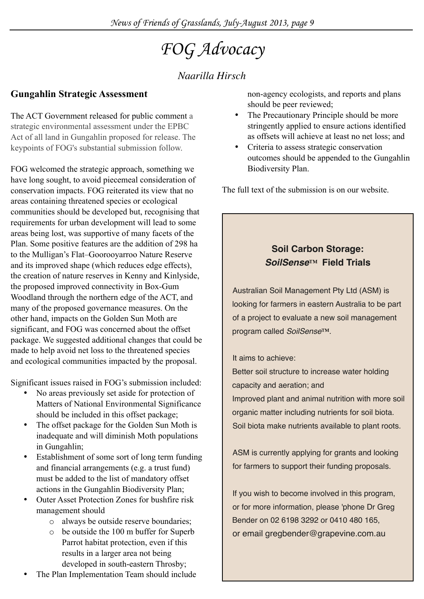# *FOG Advocacy*

## *Naarilla Hirsch*

## **Gungahlin Strategic Assessment**

The ACT Government released for public comment a strategic environmental assessment under the EPBC Act of all land in Gungahlin proposed for release. The keypoints of FOG's substantial submission follow.

FOG welcomed the strategic approach, something we have long sought, to avoid piecemeal consideration of conservation impacts. FOG reiterated its view that no areas containing threatened species or ecological communities should be developed but, recognising that requirements for urban development will lead to some areas being lost, was supportive of many facets of the Plan. Some positive features are the addition of 298 ha to the Mulligan's Flat–Goorooyarroo Nature Reserve and its improved shape (which reduces edge effects), the creation of nature reserves in Kenny and Kinlyside, the proposed improved connectivity in Box-Gum Woodland through the northern edge of the ACT, and many of the proposed governance measures. On the other hand, impacts on the Golden Sun Moth are significant, and FOG was concerned about the offset package. We suggested additional changes that could be made to help avoid net loss to the threatened species and ecological communities impacted by the proposal.

Significant issues raised in FOG's submission included:

- No areas previously set aside for protection of Matters of National Environmental Significance should be included in this offset package;
- The offset package for the Golden Sun Moth is inadequate and will diminish Moth populations in Gungahlin;
- Establishment of some sort of long term funding and financial arrangements (e.g. a trust fund) must be added to the list of mandatory offset actions in the Gungahlin Biodiversity Plan;
- Outer Asset Protection Zones for bushfire risk management should
	- o always be outside reserve boundaries;
	- o be outside the 100 m buffer for Superb Parrot habitat protection, even if this results in a larger area not being developed in south-eastern Throsby;
- The Plan Implementation Team should include

non-agency ecologists, and reports and plans should be peer reviewed;

- The Precautionary Principle should be more stringently applied to ensure actions identified as offsets will achieve at least no net loss; and
- Criteria to assess strategic conservation outcomes should be appended to the Gungahlin Biodiversity Plan.

The full text of the submission is on our website.

## **Soil Carbon Storage:**  *SoilSense*™ **Field Trials**

Australian Soil Management Pty Ltd (ASM) is looking for farmers in eastern Australia to be part of a project to evaluate a new soil management program called *SoilSense*™.

### It aims to achieve:

Better soil structure to increase water holding capacity and aeration; and

Improved plant and animal nutrition with more soil organic matter including nutrients for soil biota. Soil biota make nutrients available to plant roots.

ASM is currently applying for grants and looking for farmers to support their funding proposals.

If you wish to become involved in this program, or for more information, please 'phone Dr Greg Bender on 02 6198 3292 or 0410 480 165, or email [gregbender@grapevine.com.au](mailto:gregbender@grapevine.com.au)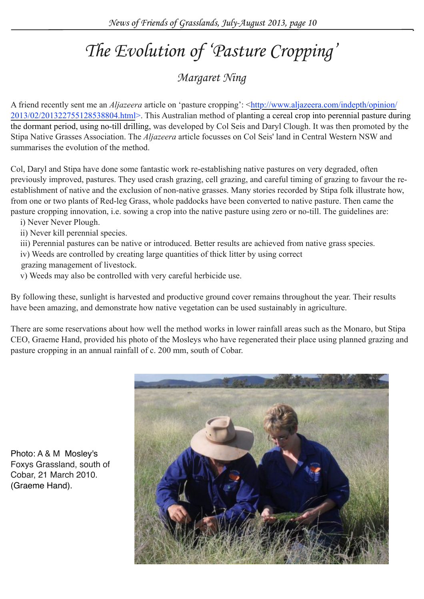# *The Evolution of 'Pasture Cropping'*

## *Margaret Ning*

A friend recently sent me an *Aljazeera* article on 'pasture cropping': <[http://www.aljazeera.com/indepth/opinion/](http://www.aljazeera.com/indepth/opinion/2013/02/201322755128538804.html) [2013/02/201322755128538804.html>](http://www.aljazeera.com/indepth/opinion/2013/02/201322755128538804.html). This Australian method of planting a cereal crop into perennial pasture during the dormant period, using no-till drilling, was developed by Col Seis and Daryl Clough. It was then promoted by the Stipa Native Grasses Association. The *Aljazeera* article focusses on Col Seis' land in Central Western NSW and summarises the evolution of the method.

Col, Daryl and Stipa have done some fantastic work re-establishing native pastures on very degraded, often previously improved, pastures. They used crash grazing, cell grazing, and careful timing of grazing to favour the reestablishment of native and the exclusion of non-native grasses. Many stories recorded by Stipa folk illustrate how, from one or two plants of Red-leg Grass, whole paddocks have been converted to native pasture. Then came the pasture cropping innovation, i.e. sowing a crop into the native pasture using zero or no-till. The guidelines are:

- i) Never Never Plough.
- ii) Never kill perennial species.
- iii) Perennial pastures can be native or introduced. Better results are achieved from native grass species.
- iv) Weeds are controlled by creating large quantities of thick litter by using correct
- grazing management of livestock.
- v) Weeds may also be controlled with very careful herbicide use.

By following these, sunlight is harvested and productive ground cover remains throughout the year. Their results have been amazing, and demonstrate how native vegetation can be used sustainably in agriculture.

There are some reservations about how well the method works in lower rainfall areas such as the Monaro, but Stipa CEO, Graeme Hand, provided his photo of the Mosleys who have regenerated their place using planned grazing and pasture cropping in an annual rainfall of c. 200 mm, south of Cobar.



Photo: A & M Mosley's Foxys Grassland, south of Cobar, 21 March 2010. (Graeme Hand).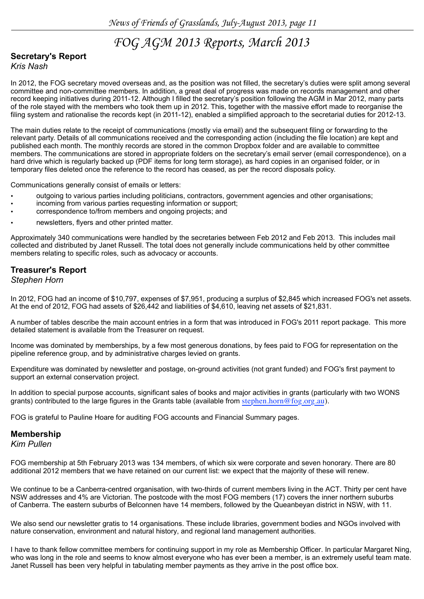## *FOG AGM 2013 Reports, March 2013*

## **Secretary's Report**

*Kris Nash*

In 2012, the FOG secretary moved overseas and, as the position was not filled, the secretary's duties were split among several committee and non-committee members. In addition, a great deal of progress was made on records management and other record keeping initiatives during 2011-12. Although I filled the secretary's position following the AGM in Mar 2012, many parts of the role stayed with the members who took them up in 2012. This, together with the massive effort made to reorganise the filing system and rationalise the records kept (in 2011-12), enabled a simplified approach to the secretarial duties for 2012-13.

The main duties relate to the receipt of communications (mostly via email) and the subsequent filing or forwarding to the relevant party. Details of all communications received and the corresponding action (including the file location) are kept and published each month. The monthly records are stored in the common Dropbox folder and are available to committee members. The communications are stored in appropriate folders on the secretary's email server (email correspondence), on a hard drive which is regularly backed up (PDF items for long term storage), as hard copies in an organised folder, or in temporary files deleted once the reference to the record has ceased, as per the record disposals policy.

Communications generally consist of emails or letters:

- outgoing to various parties including politicians, contractors, government agencies and other organisations;
- incoming from various parties requesting information or support;
- correspondence to/from members and ongoing projects; and
- newsletters, flyers and other printed matter.

Approximately 340 communications were handled by the secretaries between Feb 2012 and Feb 2013. This includes mail collected and distributed by Janet Russell. The total does not generally include communications held by other committee members relating to specific roles, such as advocacy or accounts.

#### **Treasurer's Report**

#### *Stephen Horn*

In 2012, FOG had an income of \$10,797, expenses of \$7,951, producing a surplus of \$2,845 which increased FOG's net assets. At the end of 2012, FOG had assets of \$26,442 and liabilities of \$4,610, leaving net assets of \$21,831.

A number of tables describe the main account entries in a form that was introduced in FOG's 2011 report package. This more detailed statement is available from the Treasurer on request.

Income was dominated by memberships, by a few most generous donations, by fees paid to FOG for representation on the pipeline reference group, and by administrative charges levied on grants.

Expenditure was dominated by newsletter and postage, on-ground activities (not grant funded) and FOG's first payment to support an external conservation project.

In addition to special purpose accounts, significant sales of books and major activities in grants (particularly with two WONS grants) contributed to the large figures in the Grants table (available from stephen.horn@fog.org.au).

FOG is grateful to Pauline Hoare for auditing FOG accounts and Financial Summary pages.

#### **Membership**

*Kim Pullen*

FOG membership at 5th February 2013 was 134 members, of which six were corporate and seven honorary. There are 80 additional 2012 members that we have retained on our current list: we expect that the majority of these will renew.

We continue to be a Canberra-centred organisation, with two-thirds of current members living in the ACT. Thirty per cent have NSW addresses and 4% are Victorian. The postcode with the most FOG members (17) covers the inner northern suburbs of Canberra. The eastern suburbs of Belconnen have 14 members, followed by the Queanbeyan district in NSW, with 11.

We also send our newsletter gratis to 14 organisations. These include libraries, government bodies and NGOs involved with nature conservation, environment and natural history, and regional land management authorities.

I have to thank fellow committee members for continuing support in my role as Membership Officer. In particular Margaret Ning, who was long in the role and seems to know almost everyone who has ever been a member, is an extremely useful team mate. Janet Russell has been very helpful in tabulating member payments as they arrive in the post office box.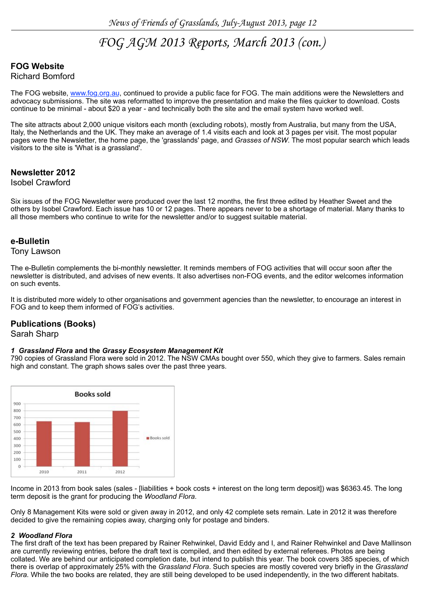## *FOG AGM 2013 Reports, March 2013 (con.)*

### **FOG Website**

#### Richard Bomford

The FOG website, [www.fog.org.au,](http://www.fog.org.au/) continued to provide a public face for FOG. The main additions were the Newsletters and advocacy submissions. The site was reformatted to improve the presentation and make the files quicker to download. Costs continue to be minimal - about \$20 a year - and technically both the site and the email system have worked well.

The site attracts about 2,000 unique visitors each month (excluding robots), mostly from Australia, but many from the USA, Italy, the Netherlands and the UK. They make an average of 1.4 visits each and look at 3 pages per visit. The most popular pages were the Newsletter, the home page, the 'grasslands' page, and *Grasses of NSW*. The most popular search which leads visitors to the site is 'What is a grassland'.

#### **Newsletter 2012**

#### Isobel Crawford

Six issues of the FOG Newsletter were produced over the last 12 months, the first three edited by Heather Sweet and the others by Isobel Crawford. Each issue has 10 or 12 pages. There appears never to be a shortage of material. Many thanks to all those members who continue to write for the newsletter and/or to suggest suitable material.

#### **e-Bulletin**

#### Tony Lawson

The e-Bulletin complements the bi-monthly newsletter. It reminds members of FOG activities that will occur soon after the newsletter is distributed, and advises of new events. It also advertises non-FOG events, and the editor welcomes information on such events.

It is distributed more widely to other organisations and government agencies than the newsletter, to encourage an interest in FOG and to keep them informed of FOG's activities.

#### **Publications (Books)**

#### Sarah Sharp

#### *1 Grassland Flora* **and the** *Grassy Ecosystem Management Kit*

790 copies of Grassland Flora were sold in 2012. The NSW CMAs bought over 550, which they give to farmers. Sales remain high and constant. The graph shows sales over the past three years.



Income in 2013 from book sales (sales - [liabilities + book costs + interest on the long term deposit]) was \$6363.45. The long term deposit is the grant for producing the *Woodland Flora*.

Only 8 Management Kits were sold or given away in 2012, and only 42 complete sets remain. Late in 2012 it was therefore decided to give the remaining copies away, charging only for postage and binders.

#### *2 Woodland Flora*

The first draft of the text has been prepared by Rainer Rehwinkel, David Eddy and I, and Rainer Rehwinkel and Dave Mallinson are currently reviewing entries, before the draft text is compiled, and then edited by external referees. Photos are being collated. We are behind our anticipated completion date, but intend to publish this year. The book covers 385 species, of which there is overlap of approximately 25% with the *Grassland Flora*. Such species are mostly covered very briefly in the *Grassland Flora.* While the two books are related, they are still being developed to be used independently, in the two different habitats.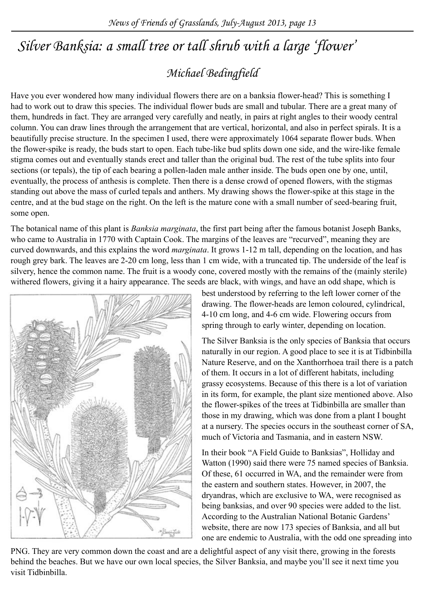## *Silver Banksia: a small tree or tall shrub with a large 'flower'*

## *Michael Bedingfield*

Have you ever wondered how many individual flowers there are on a banksia flower-head? This is something I had to work out to draw this species. The individual flower buds are small and tubular. There are a great many of them, hundreds in fact. They are arranged very carefully and neatly, in pairs at right angles to their woody central column. You can draw lines through the arrangement that are vertical, horizontal, and also in perfect spirals. It is a beautifully precise structure. In the specimen I used, there were approximately 1064 separate flower buds. When the flower-spike is ready, the buds start to open. Each tube-like bud splits down one side, and the wire-like female stigma comes out and eventually stands erect and taller than the original bud. The rest of the tube splits into four sections (or tepals), the tip of each bearing a pollen-laden male anther inside. The buds open one by one, until, eventually, the process of anthesis is complete. Then there is a dense crowd of opened flowers, with the stigmas standing out above the mass of curled tepals and anthers. My drawing shows the flower-spike at this stage in the centre, and at the bud stage on the right. On the left is the mature cone with a small number of seed-bearing fruit, some open.

The botanical name of this plant is *Banksia marginata*, the first part being after the famous botanist Joseph Banks, who came to Australia in 1770 with Captain Cook. The margins of the leaves are "recurved", meaning they are curved downwards, and this explains the word *marginata*. It grows 1-12 m tall, depending on the location, and has rough grey bark. The leaves are 2-20 cm long, less than 1 cm wide, with a truncated tip. The underside of the leaf is silvery, hence the common name. The fruit is a woody cone, covered mostly with the remains of the (mainly sterile) withered flowers, giving it a hairy appearance. The seeds are black, with wings, and have an odd shape, which is



best understood by referring to the left lower corner of the drawing. The flower-heads are lemon coloured, cylindrical, 4-10 cm long, and 4-6 cm wide. Flowering occurs from spring through to early winter, depending on location.

The Silver Banksia is the only species of Banksia that occurs naturally in our region. A good place to see it is at Tidbinbilla Nature Reserve, and on the Xanthorrhoea trail there is a patch of them. It occurs in a lot of different habitats, including grassy ecosystems. Because of this there is a lot of variation in its form, for example, the plant size mentioned above. Also the flower-spikes of the trees at Tidbinbilla are smaller than those in my drawing, which was done from a plant I bought at a nursery. The species occurs in the southeast corner of SA, much of Victoria and Tasmania, and in eastern NSW.

In their book "A Field Guide to Banksias", Holliday and Watton (1990) said there were 75 named species of Banksia. Of these, 61 occurred in WA, and the remainder were from the eastern and southern states. However, in 2007, the dryandras, which are exclusive to WA, were recognised as being banksias, and over 90 species were added to the list. According to the Australian National Botanic Gardens' website, there are now 173 species of Banksia, and all but one are endemic to Australia, with the odd one spreading into

PNG. They are very common down the coast and are a delightful aspect of any visit there, growing in the forests behind the beaches. But we have our own local species, the Silver Banksia, and maybe you'll see it next time you visit Tidbinbilla.